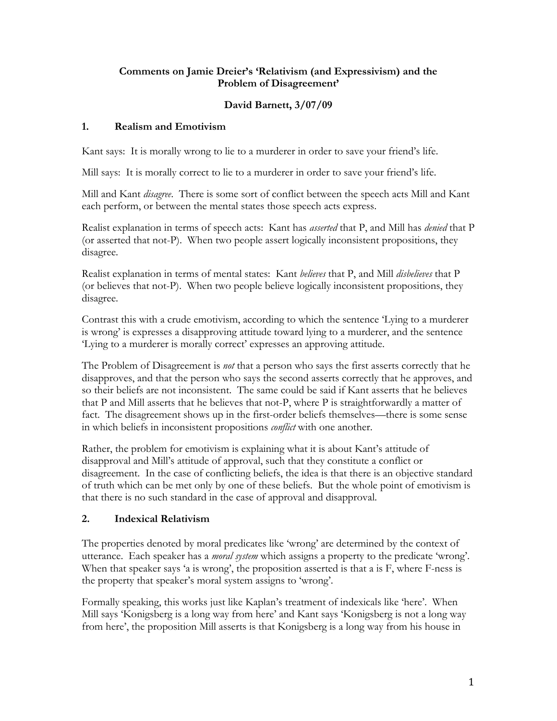### **Comments on Jamie Dreier's 'Relativism (and Expressivism) and the Problem of Disagreement'**

## **David Barnett, 3/07/09**

## **1. Realism and Emotivism**

Kant says: It is morally wrong to lie to a murderer in order to save your friend's life.

Mill says: It is morally correct to lie to a murderer in order to save your friend's life.

Mill and Kant *disagree*. There is some sort of conflict between the speech acts Mill and Kant each perform, or between the mental states those speech acts express.

Realist explanation in terms of speech acts: Kant has *asserted* that P, and Mill has *denied* that P (or asserted that not-P). When two people assert logically inconsistent propositions, they disagree.

Realist explanation in terms of mental states: Kant *believes* that P, and Mill *disbelieves* that P (or believes that not-P). When two people believe logically inconsistent propositions, they disagree.

Contrast this with a crude emotivism, according to which the sentence 'Lying to a murderer is wrong' is expresses a disapproving attitude toward lying to a murderer, and the sentence 'Lying to a murderer is morally correct' expresses an approving attitude.

The Problem of Disagreement is *not* that a person who says the first asserts correctly that he disapproves, and that the person who says the second asserts correctly that he approves, and so their beliefs are not inconsistent. The same could be said if Kant asserts that he believes that P and Mill asserts that he believes that not-P, where P is straightforwardly a matter of fact. The disagreement shows up in the first-order beliefs themselves—there is some sense in which beliefs in inconsistent propositions *conflict* with one another.

Rather, the problem for emotivism is explaining what it is about Kant's attitude of disapproval and Mill's attitude of approval, such that they constitute a conflict or disagreement. In the case of conflicting beliefs, the idea is that there is an objective standard of truth which can be met only by one of these beliefs. But the whole point of emotivism is that there is no such standard in the case of approval and disapproval.

# **2. Indexical Relativism**

The properties denoted by moral predicates like 'wrong' are determined by the context of utterance. Each speaker has a *moral system* which assigns a property to the predicate 'wrong'. When that speaker says 'a is wrong', the proposition asserted is that a is F, where F-ness is the property that speaker's moral system assigns to 'wrong'.

Formally speaking, this works just like Kaplan's treatment of indexicals like 'here'. When Mill says 'Konigsberg is a long way from here' and Kant says 'Konigsberg is not a long way from here', the proposition Mill asserts is that Konigsberg is a long way from his house in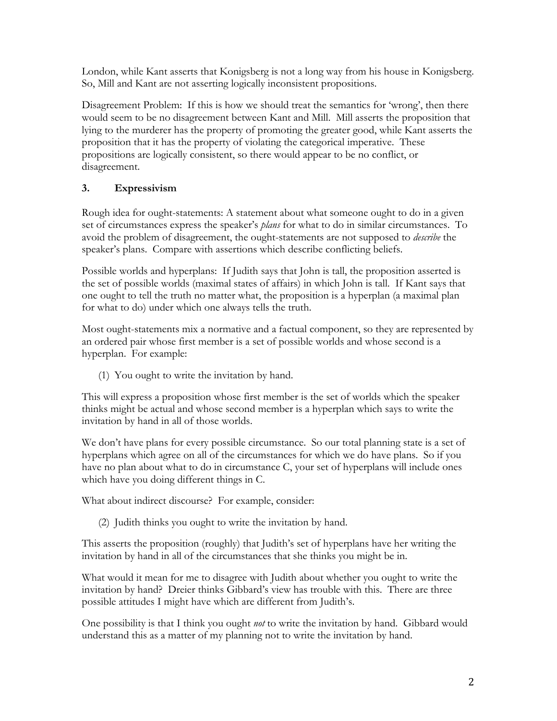London, while Kant asserts that Konigsberg is not a long way from his house in Konigsberg. So, Mill and Kant are not asserting logically inconsistent propositions.

Disagreement Problem: If this is how we should treat the semantics for 'wrong', then there would seem to be no disagreement between Kant and Mill. Mill asserts the proposition that lying to the murderer has the property of promoting the greater good, while Kant asserts the proposition that it has the property of violating the categorical imperative. These propositions are logically consistent, so there would appear to be no conflict, or disagreement.

## **3. Expressivism**

Rough idea for ought-statements: A statement about what someone ought to do in a given set of circumstances express the speaker's *plans* for what to do in similar circumstances. To avoid the problem of disagreement, the ought-statements are not supposed to *describe* the speaker's plans. Compare with assertions which describe conflicting beliefs.

Possible worlds and hyperplans: If Judith says that John is tall, the proposition asserted is the set of possible worlds (maximal states of affairs) in which John is tall. If Kant says that one ought to tell the truth no matter what, the proposition is a hyperplan (a maximal plan for what to do) under which one always tells the truth.

Most ought-statements mix a normative and a factual component, so they are represented by an ordered pair whose first member is a set of possible worlds and whose second is a hyperplan. For example:

(1) You ought to write the invitation by hand.

This will express a proposition whose first member is the set of worlds which the speaker thinks might be actual and whose second member is a hyperplan which says to write the invitation by hand in all of those worlds.

We don't have plans for every possible circumstance. So our total planning state is a set of hyperplans which agree on all of the circumstances for which we do have plans. So if you have no plan about what to do in circumstance C, your set of hyperplans will include ones which have you doing different things in C.

What about indirect discourse? For example, consider:

(2) Judith thinks you ought to write the invitation by hand.

This asserts the proposition (roughly) that Judith's set of hyperplans have her writing the invitation by hand in all of the circumstances that she thinks you might be in.

What would it mean for me to disagree with Judith about whether you ought to write the invitation by hand? Dreier thinks Gibbard's view has trouble with this. There are three possible attitudes I might have which are different from Judith's.

One possibility is that I think you ought *not* to write the invitation by hand. Gibbard would understand this as a matter of my planning not to write the invitation by hand.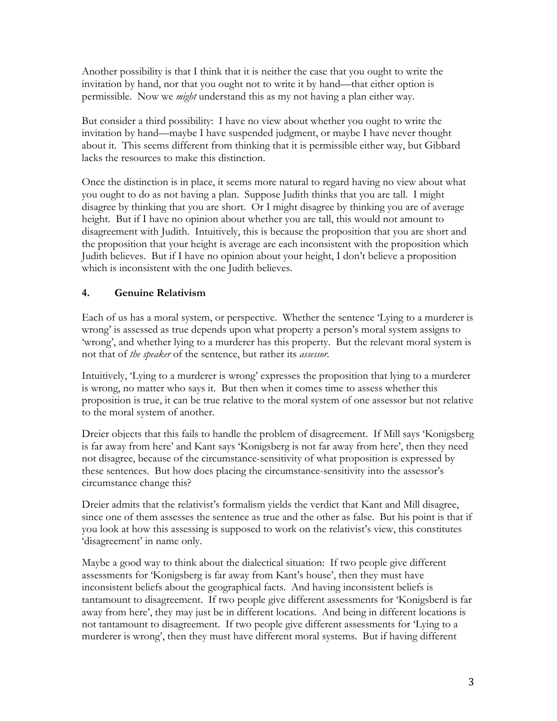Another possibility is that I think that it is neither the case that you ought to write the invitation by hand, nor that you ought not to write it by hand—that either option is permissible. Now we *might* understand this as my not having a plan either way.

But consider a third possibility: I have no view about whether you ought to write the invitation by hand—maybe I have suspended judgment, or maybe I have never thought about it. This seems different from thinking that it is permissible either way, but Gibbard lacks the resources to make this distinction.

Once the distinction is in place, it seems more natural to regard having no view about what you ought to do as not having a plan. Suppose Judith thinks that you are tall. I might disagree by thinking that you are short. Or I might disagree by thinking you are of average height. But if I have no opinion about whether you are tall, this would not amount to disagreement with Judith. Intuitively, this is because the proposition that you are short and the proposition that your height is average are each inconsistent with the proposition which Judith believes. But if I have no opinion about your height, I don't believe a proposition which is inconsistent with the one Judith believes.

### **4. Genuine Relativism**

Each of us has a moral system, or perspective. Whether the sentence 'Lying to a murderer is wrong' is assessed as true depends upon what property a person's moral system assigns to 'wrong', and whether lying to a murderer has this property. But the relevant moral system is not that of *the speaker* of the sentence, but rather its *assessor*.

Intuitively, 'Lying to a murderer is wrong' expresses the proposition that lying to a murderer is wrong, no matter who says it. But then when it comes time to assess whether this proposition is true, it can be true relative to the moral system of one assessor but not relative to the moral system of another.

Dreier objects that this fails to handle the problem of disagreement. If Mill says 'Konigsberg is far away from here' and Kant says 'Konigsberg is not far away from here', then they need not disagree, because of the circumstance-sensitivity of what proposition is expressed by these sentences. But how does placing the circumstance-sensitivity into the assessor's circumstance change this?

Dreier admits that the relativist's formalism yields the verdict that Kant and Mill disagree, since one of them assesses the sentence as true and the other as false. But his point is that if you look at how this assessing is supposed to work on the relativist's view, this constitutes 'disagreement' in name only.

Maybe a good way to think about the dialectical situation: If two people give different assessments for 'Konigsberg is far away from Kant's house', then they must have inconsistent beliefs about the geographical facts. And having inconsistent beliefs is tantamount to disagreement. If two people give different assessments for 'Konigsberd is far away from here', they may just be in different locations. And being in different locations is not tantamount to disagreement. If two people give different assessments for 'Lying to a murderer is wrong', then they must have different moral systems. But if having different